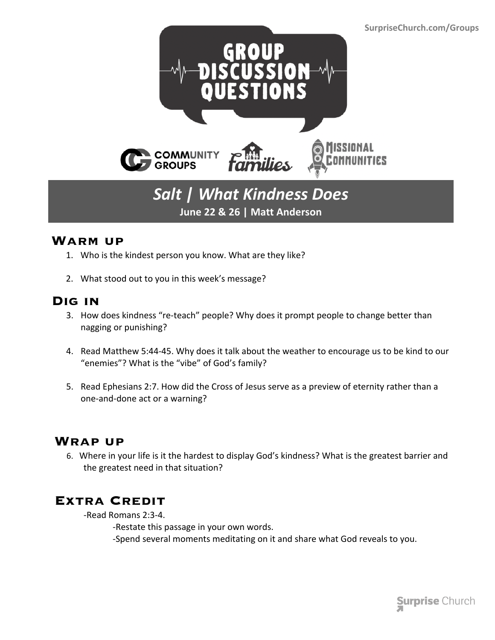

## *Salt | What Kindness Does* **June 22 & 26 | Matt Anderson**

#### **Warm up**

- 1. Who is the kindest person you know. What are they like?
- 2. What stood out to you in this week's message?

### **Dig in**

- 3. How does kindness "re-teach" people? Why does it prompt people to change better than nagging or punishing?
- 4. Read Matthew 5:44-45. Why does it talk about the weather to encourage us to be kind to our "enemies"? What is the "vibe" of God's family?
- 5. Read Ephesians 2:7. How did the Cross of Jesus serve as a preview of eternity rather than a one-and-done act or a warning?

### **Wrap up**

 6. Where in your life is it the hardest to display God's kindness? What is the greatest barrier and the greatest need in that situation?

### **Extra Credit**

-Read Romans 2:3-4.

-Restate this passage in your own words. -Spend several moments meditating on it and share what God reveals to you.